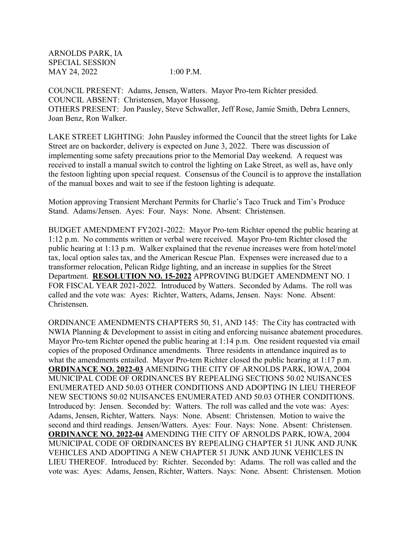ARNOLDS PARK, IA SPECIAL SESSION MAY 24, 2022 1:00 P.M.

COUNCIL PRESENT: Adams, Jensen, Watters. Mayor Pro-tem Richter presided. COUNCIL ABSENT: Christensen, Mayor Hussong. OTHERS PRESENT: Jon Pausley, Steve Schwaller, Jeff Rose, Jamie Smith, Debra Lenners, Joan Benz, Ron Walker.

LAKE STREET LIGHTING: John Pausley informed the Council that the street lights for Lake Street are on backorder, delivery is expected on June 3, 2022. There was discussion of implementing some safety precautions prior to the Memorial Day weekend. A request was received to install a manual switch to control the lighting on Lake Street, as well as, have only the festoon lighting upon special request. Consensus of the Council is to approve the installation of the manual boxes and wait to see if the festoon lighting is adequate.

Motion approving Transient Merchant Permits for Charlie's Taco Truck and Tim's Produce Stand. Adams/Jensen. Ayes: Four. Nays: None. Absent: Christensen.

BUDGET AMENDMENT FY2021-2022: Mayor Pro-tem Richter opened the public hearing at 1:12 p.m. No comments written or verbal were received. Mayor Pro-tem Richter closed the public hearing at 1:13 p.m. Walker explained that the revenue increases were from hotel/motel tax, local option sales tax, and the American Rescue Plan. Expenses were increased due to a transformer relocation, Pelican Ridge lighting, and an increase in supplies for the Street Department. **RESOLUTION NO. 15-2022** APPROVING BUDGET AMENDMENT NO. 1 FOR FISCAL YEAR 2021-2022. Introduced by Watters. Seconded by Adams. The roll was called and the vote was: Ayes: Richter, Watters, Adams, Jensen. Nays: None. Absent: Christensen.

ORDINANCE AMENDMENTS CHAPTERS 50, 51, AND 145: The City has contracted with NWIA Planning & Development to assist in citing and enforcing nuisance abatement procedures. Mayor Pro-tem Richter opened the public hearing at 1:14 p.m. One resident requested via email copies of the proposed Ordinance amendments. Three residents in attendance inquired as to what the amendments entailed. Mayor Pro-tem Richter closed the public hearing at 1:17 p.m. **ORDINANCE NO. 2022-03** AMENDING THE CITY OF ARNOLDS PARK, IOWA, 2004 MUNICIPAL CODE OF ORDINANCES BY REPEALING SECTIONS 50.02 NUISANCES ENUMERATED AND 50.03 OTHER CONDITIONS AND ADOPTING IN LIEU THEREOF NEW SECTIONS 50.02 NUISANCES ENUMERATED AND 50.03 OTHER CONDITIONS. Introduced by: Jensen. Seconded by: Watters. The roll was called and the vote was: Ayes: Adams, Jensen, Richter, Watters. Nays: None. Absent: Christensen. Motion to waive the second and third readings. Jensen/Watters. Ayes: Four. Nays: None. Absent: Christensen. **ORDINANCE NO. 2022-04** AMENDING THE CITY OF ARNOLDS PARK, IOWA, 2004 MUNICIPAL CODE OF ORDINANCES BY REPEALING CHAPTER 51 JUNK AND JUNK VEHICLES AND ADOPTING A NEW CHAPTER 51 JUNK AND JUNK VEHICLES IN LIEU THEREOF. Introduced by: Richter. Seconded by: Adams. The roll was called and the vote was: Ayes: Adams, Jensen, Richter, Watters. Nays: None. Absent: Christensen. Motion